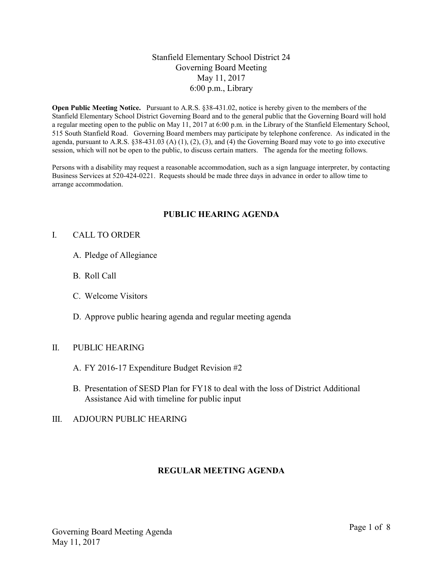## Stanfield Elementary School District 24 Governing Board Meeting May 11, 2017 6:00 p.m., Library

Open Public Meeting Notice. Pursuant to A.R.S. §38-431.02, notice is hereby given to the members of the Stanfield Elementary School District Governing Board and to the general public that the Governing Board will hold a regular meeting open to the public on May 11, 2017 at 6:00 p.m. in the Library of the Stanfield Elementary School, 515 South Stanfield Road. Governing Board members may participate by telephone conference. As indicated in the agenda, pursuant to A.R.S.  $\S 38-431.03$  (A) (1), (2), (3), and (4) the Governing Board may vote to go into executive session, which will not be open to the public, to discuss certain matters. The agenda for the meeting follows.

Persons with a disability may request a reasonable accommodation, such as a sign language interpreter, by contacting Business Services at 520-424-0221. Requests should be made three days in advance in order to allow time to arrange accommodation.

## PUBLIC HEARING AGENDA

#### I. CALL TO ORDER

- A. Pledge of Allegiance
- B. Roll Call
- C. Welcome Visitors
- D. Approve public hearing agenda and regular meeting agenda

#### II. PUBLIC HEARING

- A. FY 2016-17 Expenditure Budget Revision #2
- B. Presentation of SESD Plan for FY18 to deal with the loss of District Additional Assistance Aid with timeline for public input

#### III. ADJOURN PUBLIC HEARING

#### REGULAR MEETING AGENDA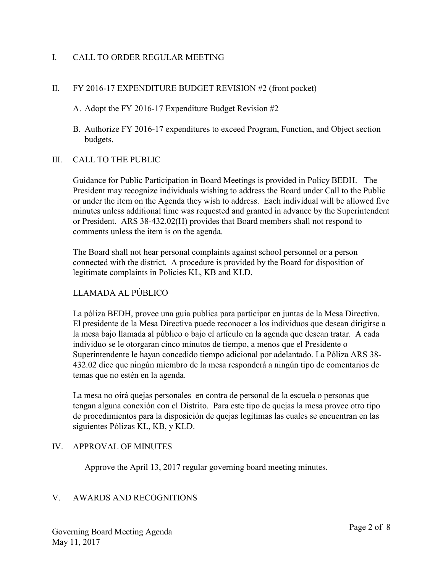## I. CALL TO ORDER REGULAR MEETING

## II. FY 2016-17 EXPENDITURE BUDGET REVISION #2 (front pocket)

A. Adopt the FY 2016-17 Expenditure Budget Revision #2

B. Authorize FY 2016-17 expenditures to exceed Program, Function, and Object section budgets.

## III. CALL TO THE PUBLIC

Guidance for Public Participation in Board Meetings is provided in Policy BEDH. The President may recognize individuals wishing to address the Board under Call to the Public or under the item on the Agenda they wish to address. Each individual will be allowed five minutes unless additional time was requested and granted in advance by the Superintendent or President. ARS 38-432.02(H) provides that Board members shall not respond to comments unless the item is on the agenda.

The Board shall not hear personal complaints against school personnel or a person connected with the district. A procedure is provided by the Board for disposition of legitimate complaints in Policies KL, KB and KLD.

# LLAMADA AL PÚBLICO

La póliza BEDH, provee una guía publica para participar en juntas de la Mesa Directiva. El presidente de la Mesa Directiva puede reconocer a los individuos que desean dirigirse a la mesa bajo llamada al público o bajo el artículo en la agenda que desean tratar. A cada individuo se le otorgaran cinco minutos de tiempo, a menos que el Presidente o Superintendente le hayan concedido tiempo adicional por adelantado. La Póliza ARS 38- 432.02 dice que ningún miembro de la mesa responderá a ningún tipo de comentarios de temas que no estén en la agenda.

La mesa no oirá quejas personales en contra de personal de la escuela o personas que tengan alguna conexión con el Distrito. Para este tipo de quejas la mesa provee otro tipo de procedimientos para la disposición de quejas legítimas las cuales se encuentran en las siguientes Pólizas KL, KB, y KLD.

## IV. APPROVAL OF MINUTES

Approve the April 13, 2017 regular governing board meeting minutes.

## V. AWARDS AND RECOGNITIONS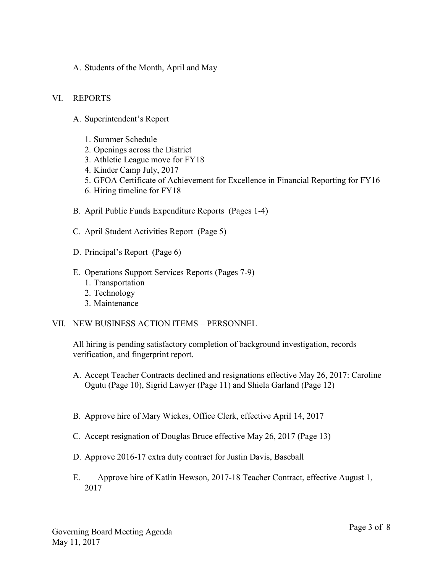A. Students of the Month, April and May

#### VI. REPORTS

- A. Superintendent's Report
	- 1. Summer Schedule
	- 2. Openings across the District
	- 3. Athletic League move for FY18
	- 4. Kinder Camp July, 2017
	- 5. GFOA Certificate of Achievement for Excellence in Financial Reporting for FY16
	- 6. Hiring timeline for FY18
- B. April Public Funds Expenditure Reports (Pages 1-4)
- C. April Student Activities Report (Page 5)
- D. Principal's Report (Page 6)
- E. Operations Support Services Reports (Pages 7-9)
	- 1. Transportation
	- 2. Technology
	- 3. Maintenance

#### VII. NEW BUSINESS ACTION ITEMS – PERSONNEL

All hiring is pending satisfactory completion of background investigation, records verification, and fingerprint report.

- A. Accept Teacher Contracts declined and resignations effective May 26, 2017: Caroline Ogutu (Page 10), Sigrid Lawyer (Page 11) and Shiela Garland (Page 12)
- B. Approve hire of Mary Wickes, Office Clerk, effective April 14, 2017
- C. Accept resignation of Douglas Bruce effective May 26, 2017 (Page 13)
- D. Approve 2016-17 extra duty contract for Justin Davis, Baseball
- E. Approve hire of Katlin Hewson, 2017-18 Teacher Contract, effective August 1, 2017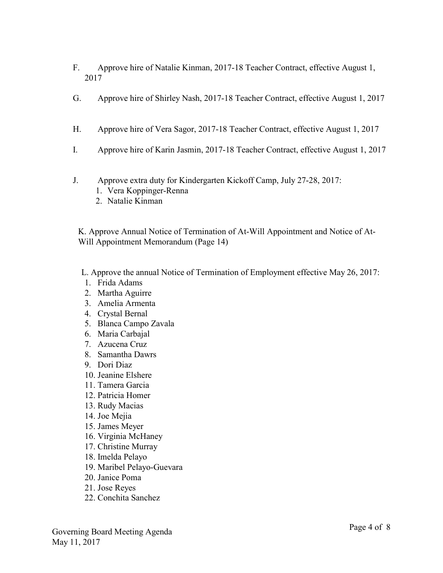- F. Approve hire of Natalie Kinman, 2017-18 Teacher Contract, effective August 1, 2017
- G. Approve hire of Shirley Nash, 2017-18 Teacher Contract, effective August 1, 2017
- H. Approve hire of Vera Sagor, 2017-18 Teacher Contract, effective August 1, 2017
- I. Approve hire of Karin Jasmin, 2017-18 Teacher Contract, effective August 1, 2017
- J. Approve extra duty for Kindergarten Kickoff Camp, July 27-28, 2017:
	- 1. Vera Koppinger-Renna
	- 2. Natalie Kinman

K. Approve Annual Notice of Termination of At-Will Appointment and Notice of At-Will Appointment Memorandum (Page 14)

- L. Approve the annual Notice of Termination of Employment effective May 26, 2017:
- 1. Frida Adams
- 2. Martha Aguirre
- 3. Amelia Armenta
- 4. Crystal Bernal
- 5. Blanca Campo Zavala
- 6. Maria Carbajal
- 7. Azucena Cruz
- 8. Samantha Dawrs
- 9. Dori Diaz
- 10. Jeanine Elshere
- 11. Tamera Garcia
- 12. Patricia Homer
- 13. Rudy Macias
- 14. Joe Mejia
- 15. James Meyer
- 16. Virginia McHaney
- 17. Christine Murray
- 18. Imelda Pelayo
- 19. Maribel Pelayo-Guevara
- 20. Janice Poma
- 21. Jose Reyes
- 22. Conchita Sanchez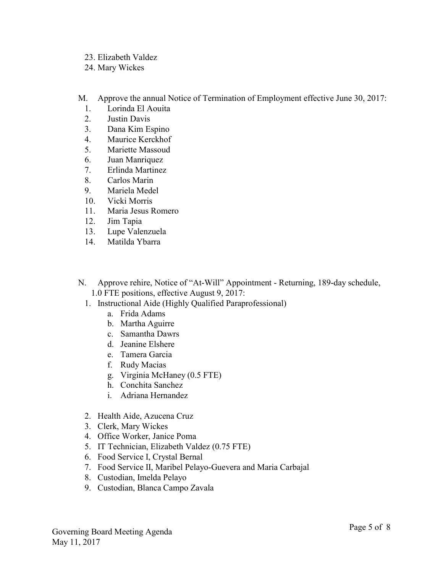- 23. Elizabeth Valdez
- 24. Mary Wickes
- M. Approve the annual Notice of Termination of Employment effective June 30, 2017:
	- 1. Lorinda El Aouita
	- 2. Justin Davis
	- 3. Dana Kim Espino
	- 4. Maurice Kerckhof
	- 5. Mariette Massoud
	- 6. Juan Manriquez
	- 7. Erlinda Martinez
	- 8. Carlos Marin
	- 9. Mariela Medel
	- 10. Vicki Morris
	- 11. Maria Jesus Romero
	- 12. Jim Tapia
	- 13. Lupe Valenzuela
	- 14. Matilda Ybarra
- N. Approve rehire, Notice of "At-Will" Appointment Returning, 189-day schedule, 1.0 FTE positions, effective August 9, 2017:
	- 1. Instructional Aide (Highly Qualified Paraprofessional)
		- a. Frida Adams
		- b. Martha Aguirre
		- c. Samantha Dawrs
		- d. Jeanine Elshere
		- e. Tamera Garcia
		- f. Rudy Macias
		- g. Virginia McHaney (0.5 FTE)
		- h. Conchita Sanchez
		- i. Adriana Hernandez
	- 2. Health Aide, Azucena Cruz
	- 3. Clerk, Mary Wickes
	- 4. Office Worker, Janice Poma
	- 5. IT Technician, Elizabeth Valdez (0.75 FTE)
	- 6. Food Service I, Crystal Bernal
	- 7. Food Service II, Maribel Pelayo-Guevera and Maria Carbajal
	- 8. Custodian, Imelda Pelayo
	- 9. Custodian, Blanca Campo Zavala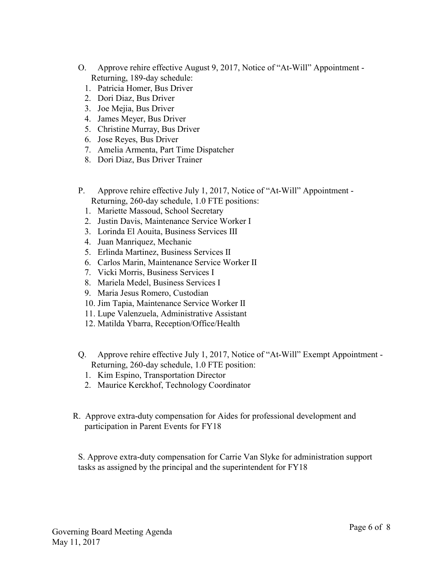- O. Approve rehire effective August 9, 2017, Notice of "At-Will" Appointment Returning, 189-day schedule:
	- 1. Patricia Homer, Bus Driver
	- 2. Dori Diaz, Bus Driver
	- 3. Joe Mejia, Bus Driver
	- 4. James Meyer, Bus Driver
	- 5. Christine Murray, Bus Driver
	- 6. Jose Reyes, Bus Driver
	- 7. Amelia Armenta, Part Time Dispatcher
	- 8. Dori Diaz, Bus Driver Trainer
- P. Approve rehire effective July 1, 2017, Notice of "At-Will" Appointment Returning, 260-day schedule, 1.0 FTE positions:
	- 1. Mariette Massoud, School Secretary
	- 2. Justin Davis, Maintenance Service Worker I
	- 3. Lorinda El Aouita, Business Services III
	- 4. Juan Manriquez, Mechanic
	- 5. Erlinda Martinez, Business Services II
	- 6. Carlos Marin, Maintenance Service Worker II
	- 7. Vicki Morris, Business Services I
	- 8. Mariela Medel, Business Services I
	- 9. Maria Jesus Romero, Custodian
	- 10. Jim Tapia, Maintenance Service Worker II
	- 11. Lupe Valenzuela, Administrative Assistant
	- 12. Matilda Ybarra, Reception/Office/Health
- Q. Approve rehire effective July 1, 2017, Notice of "At-Will" Exempt Appointment Returning, 260-day schedule, 1.0 FTE position:
	- 1. Kim Espino, Transportation Director
	- 2. Maurice Kerckhof, Technology Coordinator
- R. Approve extra-duty compensation for Aides for professional development and participation in Parent Events for FY18

S. Approve extra-duty compensation for Carrie Van Slyke for administration support tasks as assigned by the principal and the superintendent for FY18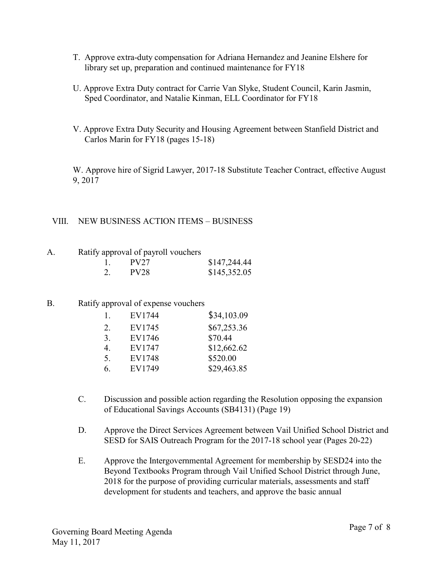- T. Approve extra-duty compensation for Adriana Hernandez and Jeanine Elshere for library set up, preparation and continued maintenance for FY18
- U. Approve Extra Duty contract for Carrie Van Slyke, Student Council, Karin Jasmin, Sped Coordinator, and Natalie Kinman, ELL Coordinator for FY18
- V. Approve Extra Duty Security and Housing Agreement between Stanfield District and Carlos Marin for FY18 (pages 15-18)

W. Approve hire of Sigrid Lawyer, 2017-18 Substitute Teacher Contract, effective August 9, 2017

## VIII. NEW BUSINESS ACTION ITEMS – BUSINESS

A. Ratify approval of payroll vouchers

|    | PV27 | \$147,244.44 |
|----|------|--------------|
| 2. | PV28 | \$145,352.05 |

## B. Ratify approval of expense vouchers

| 1. | EV1744 | \$34,103.09 |
|----|--------|-------------|
| 2. | EV1745 | \$67,253.36 |
| 3. | EV1746 | \$70.44     |
| 4. | EV1747 | \$12,662.62 |
| 5. | EV1748 | \$520.00    |
| 6. | EV1749 | \$29,463.85 |

- C. Discussion and possible action regarding the Resolution opposing the expansion of Educational Savings Accounts (SB4131) (Page 19)
- D. Approve the Direct Services Agreement between Vail Unified School District and SESD for SAIS Outreach Program for the 2017-18 school year (Pages 20-22)
- E. Approve the Intergovernmental Agreement for membership by SESD24 into the Beyond Textbooks Program through Vail Unified School District through June, 2018 for the purpose of providing curricular materials, assessments and staff development for students and teachers, and approve the basic annual